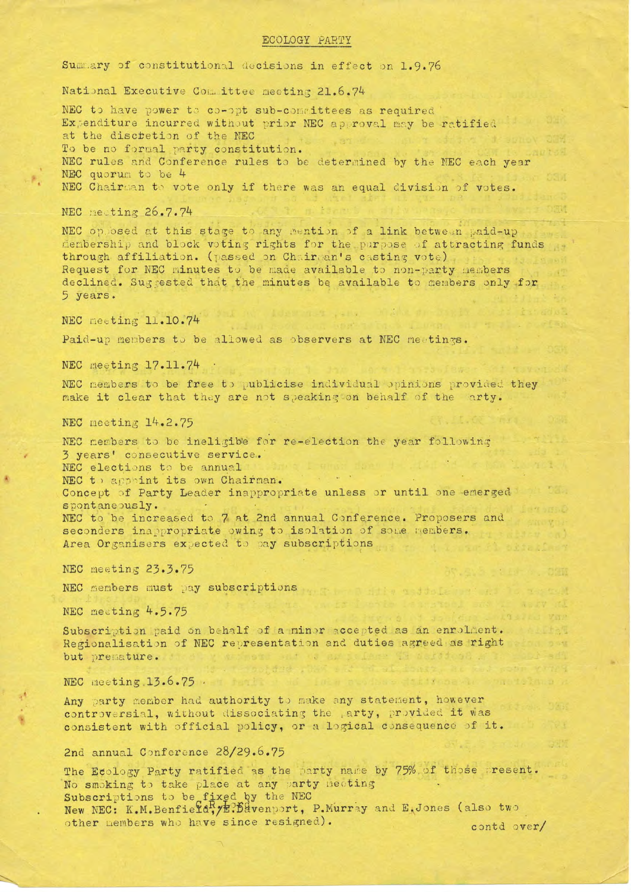## ECOLOGY PARTY

Summary of constitutional decisions in effect on 1.9.76

National Executive Committee meeting 21.6.74

NEC to have power to co-opt sub-committees as required Expenditure incurred without prior NEC approval may be ratified at the discretion of the NEC To be no formal party constitution. NEC rules and Conference rules to be determined by the NEC each year NEC quorum to be 4 NEC Chairman to vote only if there was an equal division of votes.

NEC meeting 26.7.74

NEC opposed at this stage to any mention of a link between paid-up membership and block voting rights for the purpose of attracting funds through affiliation. (passed on Chairman's casting vote) Request for NEC minutes to be made available to non-party members declined. Suggested that the minutes be available to members only for 5 years.

NEC meeting 11.10.74

Paid-up members to be allowed as observers at NEC meetings.

NEC meeting 17.11.74 .

NEC members to be free to publicise individual opinions provided they make it clear that they are not speaking on behalf of the arty.

NEC meeting 14.2.75

NEC members to be ineligible for re-election the year following 3 years' consecutive service. NEC elections to be annual NEC to appoint its own Chairman. Concept of Party Leader inappropriate unless or until one emerged spontaneously. NEC to be increased to 7 at 2nd annual Conference. Proposers and a sinovniseconders inappropriate owing to isolation of some members.

NEC meeting 23.3.75

NEC members must pay subscriptions when the settle and the settle of the settle and the settle of the settle and the settle of the settle and the settle and the settle and the settle and the settle and the settle and the s

Area Organisers expected to pay subscriptions

NEC meeting 4.5.75

Subscription paid on behalf of a minor accepted as an enrolment. Regionalisation of NEC representation and duties agreed as right but premature. It stay was sat to an influent the article of all

NEC meeting  $13.6.75$ .

Any party member had authority to make any statement, however controversial, without dissociating the party, provided it was consistent with official policy, or a logical consequence of it.

models so datificas with street

## 2nd annual Conference 28/29.6.75

The Ecology Party ratified as the party name by 75% of those present. No smoking to take place at any party neeting Subscriptions to be fixed by the NEC<br>New NEC: K.M.Benfield, *yE*: Bavenport, P.Murray and E.Jones (also two other members who have since resigned). contd over/